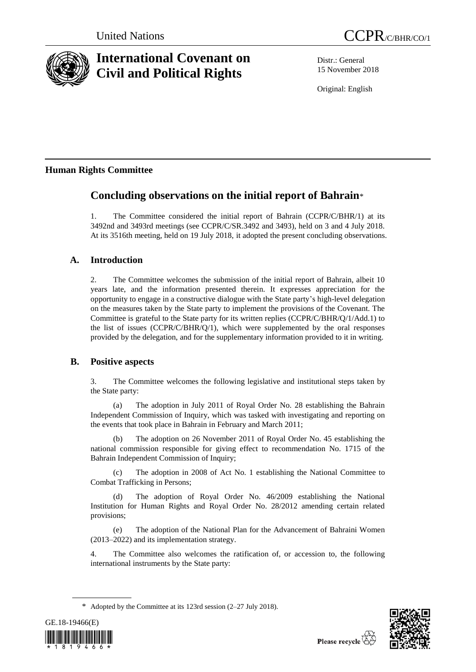

# **International Covenant on Civil and Political Rights**

Distr.: General 15 November 2018

Original: English

## **Human Rights Committee**

## **Concluding observations on the initial report of Bahrain**\*

1. The Committee considered the initial report of Bahrain (CCPR/C/BHR/1) at its 3492nd and 3493rd meetings (see CCPR/C/SR.3492 and 3493), held on 3 and 4 July 2018. At its 3516th meeting, held on 19 July 2018, it adopted the present concluding observations.

## **A. Introduction**

2. The Committee welcomes the submission of the initial report of Bahrain, albeit 10 years late, and the information presented therein. It expresses appreciation for the opportunity to engage in a constructive dialogue with the State party's high-level delegation on the measures taken by the State party to implement the provisions of the Covenant. The Committee is grateful to the State party for its written replies (CCPR/C/BHR/Q/1/Add.1) to the list of issues (CCPR/C/BHR/Q/1), which were supplemented by the oral responses provided by the delegation, and for the supplementary information provided to it in writing.

### **B. Positive aspects**

3. The Committee welcomes the following legislative and institutional steps taken by the State party:

(a) The adoption in July 2011 of Royal Order No. 28 establishing the Bahrain Independent Commission of Inquiry, which was tasked with investigating and reporting on the events that took place in Bahrain in February and March 2011;

(b) The adoption on 26 November 2011 of Royal Order No. 45 establishing the national commission responsible for giving effect to recommendation No. 1715 of the Bahrain Independent Commission of Inquiry;

(c) The adoption in 2008 of Act No. 1 establishing the National Committee to Combat Trafficking in Persons;

(d) The adoption of Royal Order No. 46/2009 establishing the National Institution for Human Rights and Royal Order No. 28/2012 amending certain related provisions;

(e) The adoption of the National Plan for the Advancement of Bahraini Women (2013–2022) and its implementation strategy.

4. The Committee also welcomes the ratification of, or accession to, the following international instruments by the State party:

<sup>\*</sup> Adopted by the Committee at its 123rd session (2–27 July 2018).



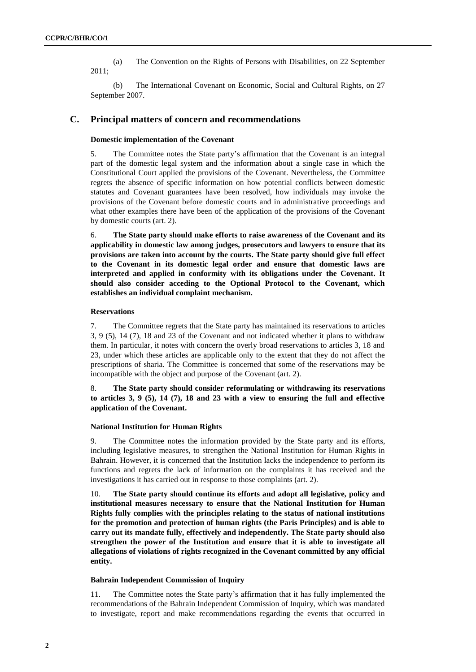(a) The Convention on the Rights of Persons with Disabilities, on 22 September 2011;

(b) The International Covenant on Economic, Social and Cultural Rights, on 27 September 2007.

#### **C. Principal matters of concern and recommendations**

#### **Domestic implementation of the Covenant**

5. The Committee notes the State party's affirmation that the Covenant is an integral part of the domestic legal system and the information about a single case in which the Constitutional Court applied the provisions of the Covenant. Nevertheless, the Committee regrets the absence of specific information on how potential conflicts between domestic statutes and Covenant guarantees have been resolved, how individuals may invoke the provisions of the Covenant before domestic courts and in administrative proceedings and what other examples there have been of the application of the provisions of the Covenant by domestic courts (art. 2).

6. **The State party should make efforts to raise awareness of the Covenant and its applicability in domestic law among judges, prosecutors and lawyers to ensure that its provisions are taken into account by the courts. The State party should give full effect to the Covenant in its domestic legal order and ensure that domestic laws are interpreted and applied in conformity with its obligations under the Covenant. It should also consider acceding to the Optional Protocol to the Covenant, which establishes an individual complaint mechanism.**

#### **Reservations**

7. The Committee regrets that the State party has maintained its reservations to articles 3, 9 (5), 14 (7), 18 and 23 of the Covenant and not indicated whether it plans to withdraw them. In particular, it notes with concern the overly broad reservations to articles 3, 18 and 23, under which these articles are applicable only to the extent that they do not affect the prescriptions of sharia. The Committee is concerned that some of the reservations may be incompatible with the object and purpose of the Covenant (art. 2).

8. **The State party should consider reformulating or withdrawing its reservations to articles 3, 9 (5), 14 (7), 18 and 23 with a view to ensuring the full and effective application of the Covenant.**

#### **National Institution for Human Rights**

9. The Committee notes the information provided by the State party and its efforts, including legislative measures, to strengthen the National Institution for Human Rights in Bahrain. However, it is concerned that the Institution lacks the independence to perform its functions and regrets the lack of information on the complaints it has received and the investigations it has carried out in response to those complaints (art. 2).

10. **The State party should continue its efforts and adopt all legislative, policy and institutional measures necessary to ensure that the National Institution for Human Rights fully complies with the principles relating to the status of national institutions for the promotion and protection of human rights (the Paris Principles) and is able to carry out its mandate fully, effectively and independently. The State party should also strengthen the power of the Institution and ensure that it is able to investigate all allegations of violations of rights recognized in the Covenant committed by any official entity.**

#### **Bahrain Independent Commission of Inquiry**

11. The Committee notes the State party's affirmation that it has fully implemented the recommendations of the Bahrain Independent Commission of Inquiry, which was mandated to investigate, report and make recommendations regarding the events that occurred in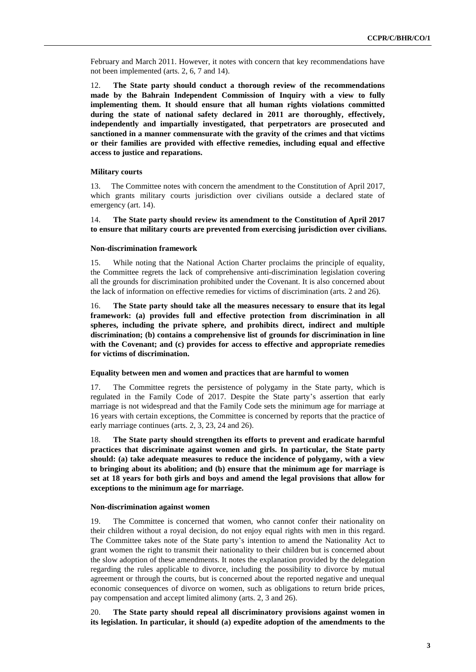February and March 2011. However, it notes with concern that key recommendations have not been implemented (arts. 2, 6, 7 and 14).

12. **The State party should conduct a thorough review of the recommendations made by the Bahrain Independent Commission of Inquiry with a view to fully implementing them. It should ensure that all human rights violations committed during the state of national safety declared in 2011 are thoroughly, effectively, independently and impartially investigated, that perpetrators are prosecuted and sanctioned in a manner commensurate with the gravity of the crimes and that victims or their families are provided with effective remedies, including equal and effective access to justice and reparations.** 

#### **Military courts**

13. The Committee notes with concern the amendment to the Constitution of April 2017, which grants military courts jurisdiction over civilians outside a declared state of emergency (art. 14).

14. **The State party should review its amendment to the Constitution of April 2017 to ensure that military courts are prevented from exercising jurisdiction over civilians.** 

#### **Non-discrimination framework**

15. While noting that the National Action Charter proclaims the principle of equality, the Committee regrets the lack of comprehensive anti-discrimination legislation covering all the grounds for discrimination prohibited under the Covenant. It is also concerned about the lack of information on effective remedies for victims of discrimination (arts. 2 and 26).

16. **The State party should take all the measures necessary to ensure that its legal framework: (a) provides full and effective protection from discrimination in all spheres, including the private sphere, and prohibits direct, indirect and multiple discrimination; (b) contains a comprehensive list of grounds for discrimination in line with the Covenant; and (c) provides for access to effective and appropriate remedies for victims of discrimination.**

#### **Equality between men and women and practices that are harmful to women**

17. The Committee regrets the persistence of polygamy in the State party, which is regulated in the Family Code of 2017. Despite the State party's assertion that early marriage is not widespread and that the Family Code sets the minimum age for marriage at 16 years with certain exceptions, the Committee is concerned by reports that the practice of early marriage continues (arts. 2, 3, 23, 24 and 26).

18. **The State party should strengthen its efforts to prevent and eradicate harmful practices that discriminate against women and girls. In particular, the State party should: (a) take adequate measures to reduce the incidence of polygamy, with a view to bringing about its abolition; and (b) ensure that the minimum age for marriage is set at 18 years for both girls and boys and amend the legal provisions that allow for exceptions to the minimum age for marriage.**

#### **Non-discrimination against women**

19. The Committee is concerned that women, who cannot confer their nationality on their children without a royal decision, do not enjoy equal rights with men in this regard. The Committee takes note of the State party's intention to amend the Nationality Act to grant women the right to transmit their nationality to their children but is concerned about the slow adoption of these amendments. It notes the explanation provided by the delegation regarding the rules applicable to divorce, including the possibility to divorce by mutual agreement or through the courts, but is concerned about the reported negative and unequal economic consequences of divorce on women, such as obligations to return bride prices, pay compensation and accept limited alimony (arts. 2, 3 and 26).

20. **The State party should repeal all discriminatory provisions against women in its legislation. In particular, it should (a) expedite adoption of the amendments to the**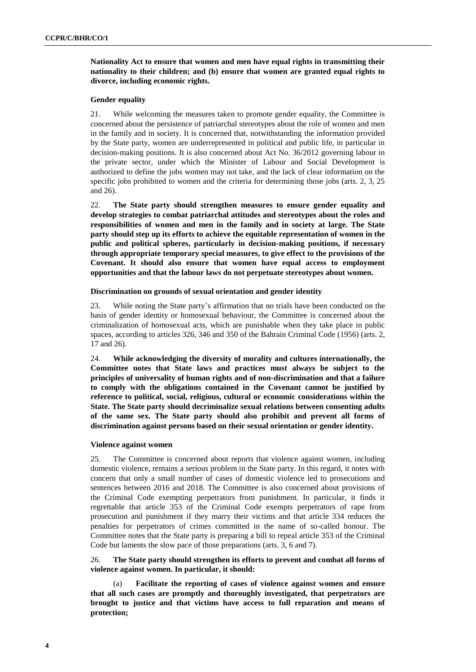#### **Nationality Act to ensure that women and men have equal rights in transmitting their nationality to their children; and (b) ensure that women are granted equal rights to divorce, including economic rights.**

#### **Gender equality**

21. While welcoming the measures taken to promote gender equality, the Committee is concerned about the persistence of patriarchal stereotypes about the role of women and men in the family and in society. It is concerned that, notwithstanding the information provided by the State party, women are underrepresented in political and public life, in particular in decision-making positions. It is also concerned about Act No. 36/2012 governing labour in the private sector, under which the Minister of Labour and Social Development is authorized to define the jobs women may not take, and the lack of clear information on the specific jobs prohibited to women and the criteria for determining those jobs (arts. 2, 3, 25) and 26).

22. **The State party should strengthen measures to ensure gender equality and develop strategies to combat patriarchal attitudes and stereotypes about the roles and responsibilities of women and men in the family and in society at large. The State party should step up its efforts to achieve the equitable representation of women in the public and political spheres, particularly in decision-making positions, if necessary through appropriate temporary special measures, to give effect to the provisions of the Covenant. It should also ensure that women have equal access to employment opportunities and that the labour laws do not perpetuate stereotypes about women.**

#### **Discrimination on grounds of sexual orientation and gender identity**

23. While noting the State party's affirmation that no trials have been conducted on the basis of gender identity or homosexual behaviour, the Committee is concerned about the criminalization of homosexual acts, which are punishable when they take place in public spaces, according to articles 326, 346 and 350 of the Bahrain Criminal Code (1956) (arts. 2, 17 and 26).

24. **While acknowledging the diversity of morality and cultures internationally, the Committee notes that State laws and practices must always be subject to the principles of universality of human rights and of non-discrimination and that a failure to comply with the obligations contained in the Covenant cannot be justified by reference to political, social, religious, cultural or economic considerations within the State. The State party should decriminalize sexual relations between consenting adults of the same sex. The State party should also prohibit and prevent all forms of discrimination against persons based on their sexual orientation or gender identity.**

#### **Violence against women**

25. The Committee is concerned about reports that violence against women, including domestic violence, remains a serious problem in the State party. In this regard, it notes with concern that only a small number of cases of domestic violence led to prosecutions and sentences between 2016 and 2018. The Committee is also concerned about provisions of the Criminal Code exempting perpetrators from punishment. In particular, it finds it regrettable that article 353 of the Criminal Code exempts perpetrators of rape from prosecution and punishment if they marry their victims and that article 334 reduces the penalties for perpetrators of crimes committed in the name of so-called honour. The Committee notes that the State party is preparing a bill to repeal article 353 of the Criminal Code but laments the slow pace of those preparations (arts. 3, 6 and 7).

#### 26. **The State party should strengthen its efforts to prevent and combat all forms of violence against women. In particular, it should:**

(a) **Facilitate the reporting of cases of violence against women and ensure that all such cases are promptly and thoroughly investigated, that perpetrators are brought to justice and that victims have access to full reparation and means of protection;**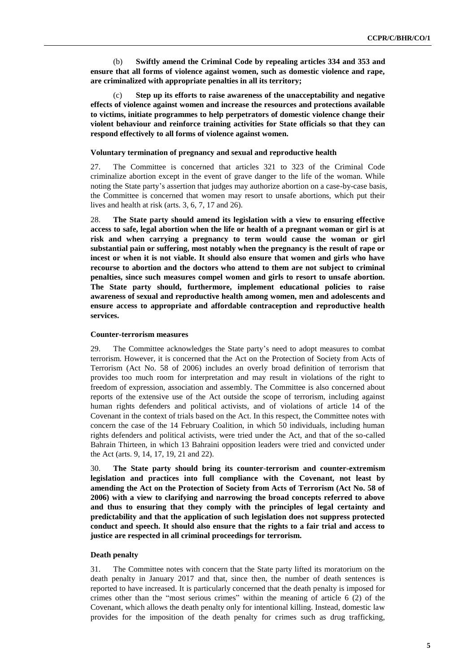(b) **Swiftly amend the Criminal Code by repealing articles 334 and 353 and ensure that all forms of violence against women, such as domestic violence and rape, are criminalized with appropriate penalties in all its territory;** 

(c) **Step up its efforts to raise awareness of the unacceptability and negative effects of violence against women and increase the resources and protections available to victims, initiate programmes to help perpetrators of domestic violence change their violent behaviour and reinforce training activities for State officials so that they can respond effectively to all forms of violence against women.**

#### **Voluntary termination of pregnancy and sexual and reproductive health**

27. The Committee is concerned that articles 321 to 323 of the Criminal Code criminalize abortion except in the event of grave danger to the life of the woman. While noting the State party's assertion that judges may authorize abortion on a case-by-case basis, the Committee is concerned that women may resort to unsafe abortions, which put their lives and health at risk (arts. 3, 6, 7, 17 and 26).

28. **The State party should amend its legislation with a view to ensuring effective access to safe, legal abortion when the life or health of a pregnant woman or girl is at risk and when carrying a pregnancy to term would cause the woman or girl substantial pain or suffering, most notably when the pregnancy is the result of rape or incest or when it is not viable. It should also ensure that women and girls who have recourse to abortion and the doctors who attend to them are not subject to criminal penalties, since such measures compel women and girls to resort to unsafe abortion. The State party should, furthermore, implement educational policies to raise awareness of sexual and reproductive health among women, men and adolescents and ensure access to appropriate and affordable contraception and reproductive health services.** 

#### **Counter-terrorism measures**

29. The Committee acknowledges the State party's need to adopt measures to combat terrorism. However, it is concerned that the Act on the Protection of Society from Acts of Terrorism (Act No. 58 of 2006) includes an overly broad definition of terrorism that provides too much room for interpretation and may result in violations of the right to freedom of expression, association and assembly. The Committee is also concerned about reports of the extensive use of the Act outside the scope of terrorism, including against human rights defenders and political activists, and of violations of article 14 of the Covenant in the context of trials based on the Act. In this respect, the Committee notes with concern the case of the 14 February Coalition, in which 50 individuals, including human rights defenders and political activists, were tried under the Act, and that of the so-called Bahrain Thirteen, in which 13 Bahraini opposition leaders were tried and convicted under the Act (arts. 9, 14, 17, 19, 21 and 22).

30. **The State party should bring its counter-terrorism and counter-extremism legislation and practices into full compliance with the Covenant, not least by amending the Act on the Protection of Society from Acts of Terrorism (Act No. 58 of 2006) with a view to clarifying and narrowing the broad concepts referred to above and thus to ensuring that they comply with the principles of legal certainty and predictability and that the application of such legislation does not suppress protected conduct and speech. It should also ensure that the rights to a fair trial and access to justice are respected in all criminal proceedings for terrorism.**

#### **Death penalty**

31. The Committee notes with concern that the State party lifted its moratorium on the death penalty in January 2017 and that, since then, the number of death sentences is reported to have increased. It is particularly concerned that the death penalty is imposed for crimes other than the "most serious crimes" within the meaning of article 6 (2) of the Covenant, which allows the death penalty only for intentional killing. Instead, domestic law provides for the imposition of the death penalty for crimes such as drug trafficking,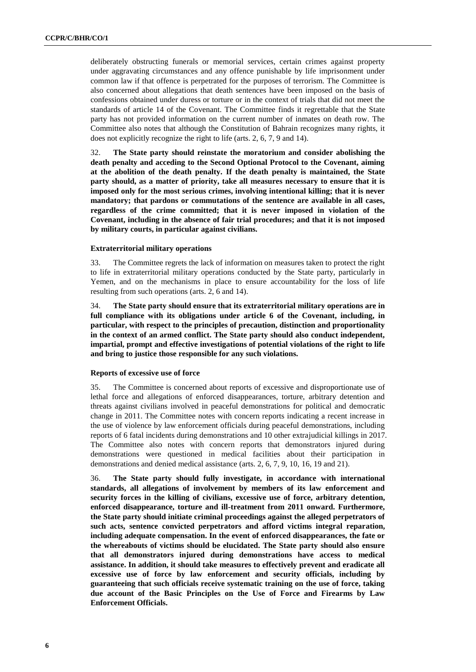deliberately obstructing funerals or memorial services, certain crimes against property under aggravating circumstances and any offence punishable by life imprisonment under common law if that offence is perpetrated for the purposes of terrorism. The Committee is also concerned about allegations that death sentences have been imposed on the basis of confessions obtained under duress or torture or in the context of trials that did not meet the standards of article 14 of the Covenant. The Committee finds it regrettable that the State party has not provided information on the current number of inmates on death row. The Committee also notes that although the Constitution of Bahrain recognizes many rights, it does not explicitly recognize the right to life (arts. 2, 6, 7, 9 and 14).

32. **The State party should reinstate the moratorium and consider abolishing the death penalty and acceding to the Second Optional Protocol to the Covenant, aiming at the abolition of the death penalty. If the death penalty is maintained, the State party should, as a matter of priority, take all measures necessary to ensure that it is imposed only for the most serious crimes, involving intentional killing; that it is never mandatory; that pardons or commutations of the sentence are available in all cases, regardless of the crime committed; that it is never imposed in violation of the Covenant, including in the absence of fair trial procedures; and that it is not imposed by military courts, in particular against civilians.** 

#### **Extraterritorial military operations**

33. The Committee regrets the lack of information on measures taken to protect the right to life in extraterritorial military operations conducted by the State party, particularly in Yemen, and on the mechanisms in place to ensure accountability for the loss of life resulting from such operations (arts. 2, 6 and 14).

34. **The State party should ensure that its extraterritorial military operations are in**  full compliance with its obligations under article 6 of the Covenant, including, in **particular, with respect to the principles of precaution, distinction and proportionality in the context of an armed conflict. The State party should also conduct independent, impartial, prompt and effective investigations of potential violations of the right to life and bring to justice those responsible for any such violations.** 

#### **Reports of excessive use of force**

35. The Committee is concerned about reports of excessive and disproportionate use of lethal force and allegations of enforced disappearances, torture, arbitrary detention and threats against civilians involved in peaceful demonstrations for political and democratic change in 2011. The Committee notes with concern reports indicating a recent increase in the use of violence by law enforcement officials during peaceful demonstrations, including reports of 6 fatal incidents during demonstrations and 10 other extrajudicial killings in 2017. The Committee also notes with concern reports that demonstrators injured during demonstrations were questioned in medical facilities about their participation in demonstrations and denied medical assistance (arts. 2, 6, 7, 9, 10, 16, 19 and 21).

36. **The State party should fully investigate, in accordance with international standards, all allegations of involvement by members of its law enforcement and security forces in the killing of civilians, excessive use of force, arbitrary detention, enforced disappearance, torture and ill-treatment from 2011 onward. Furthermore, the State party should initiate criminal proceedings against the alleged perpetrators of such acts, sentence convicted perpetrators and afford victims integral reparation, including adequate compensation. In the event of enforced disappearances, the fate or the whereabouts of victims should be elucidated. The State party should also ensure that all demonstrators injured during demonstrations have access to medical assistance. In addition, it should take measures to effectively prevent and eradicate all excessive use of force by law enforcement and security officials, including by guaranteeing that such officials receive systematic training on the use of force, taking due account of the Basic Principles on the Use of Force and Firearms by Law Enforcement Officials.**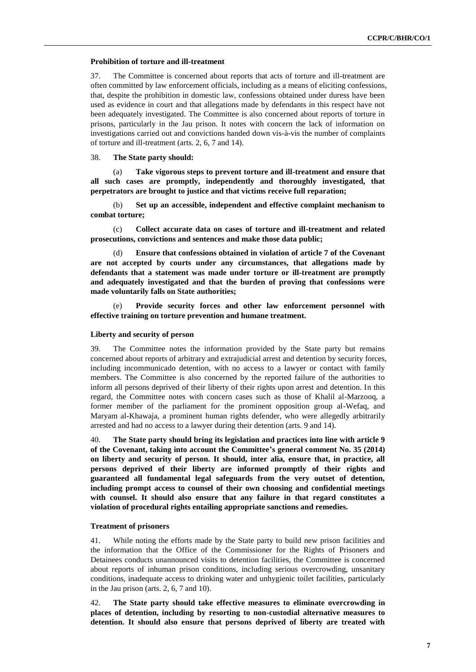#### **Prohibition of torture and ill-treatment**

37. The Committee is concerned about reports that acts of torture and ill-treatment are often committed by law enforcement officials, including as a means of eliciting confessions, that, despite the prohibition in domestic law, confessions obtained under duress have been used as evidence in court and that allegations made by defendants in this respect have not been adequately investigated. The Committee is also concerned about reports of torture in prisons, particularly in the Jau prison. It notes with concern the lack of information on investigations carried out and convictions handed down vis-à-vis the number of complaints of torture and ill-treatment (arts. 2, 6, 7 and 14).

#### 38. **The State party should:**

(a) **Take vigorous steps to prevent torture and ill-treatment and ensure that all such cases are promptly, independently and thoroughly investigated, that perpetrators are brought to justice and that victims receive full reparation;**

(b) **Set up an accessible, independent and effective complaint mechanism to combat torture;**

(c) **Collect accurate data on cases of torture and ill-treatment and related prosecutions, convictions and sentences and make those data public;** 

(d) **Ensure that confessions obtained in violation of article 7 of the Covenant are not accepted by courts under any circumstances, that allegations made by defendants that a statement was made under torture or ill-treatment are promptly and adequately investigated and that the burden of proving that confessions were made voluntarily falls on State authorities;**

(e) **Provide security forces and other law enforcement personnel with effective training on torture prevention and humane treatment.** 

#### **Liberty and security of person**

39. The Committee notes the information provided by the State party but remains concerned about reports of arbitrary and extrajudicial arrest and detention by security forces, including incommunicado detention, with no access to a lawyer or contact with family members. The Committee is also concerned by the reported failure of the authorities to inform all persons deprived of their liberty of their rights upon arrest and detention. In this regard, the Committee notes with concern cases such as those of Khalil al-Marzooq, a former member of the parliament for the prominent opposition group al-Wefaq, and Maryam al-Khawaja, a prominent human rights defender, who were allegedly arbitrarily arrested and had no access to a lawyer during their detention (arts. 9 and 14).

40. **The State party should bring its legislation and practices into line with article 9 of the Covenant, taking into account the Committee's general comment No. 35 (2014) on liberty and security of person. It should, inter alia, ensure that, in practice, all persons deprived of their liberty are informed promptly of their rights and guaranteed all fundamental legal safeguards from the very outset of detention, including prompt access to counsel of their own choosing and confidential meetings with counsel. It should also ensure that any failure in that regard constitutes a violation of procedural rights entailing appropriate sanctions and remedies.**

#### **Treatment of prisoners**

41. While noting the efforts made by the State party to build new prison facilities and the information that the Office of the Commissioner for the Rights of Prisoners and Detainees conducts unannounced visits to detention facilities, the Committee is concerned about reports of inhuman prison conditions, including serious overcrowding, unsanitary conditions, inadequate access to drinking water and unhygienic toilet facilities, particularly in the Jau prison (arts. 2, 6, 7 and 10).

42. **The State party should take effective measures to eliminate overcrowding in places of detention, including by resorting to non-custodial alternative measures to detention. It should also ensure that persons deprived of liberty are treated with**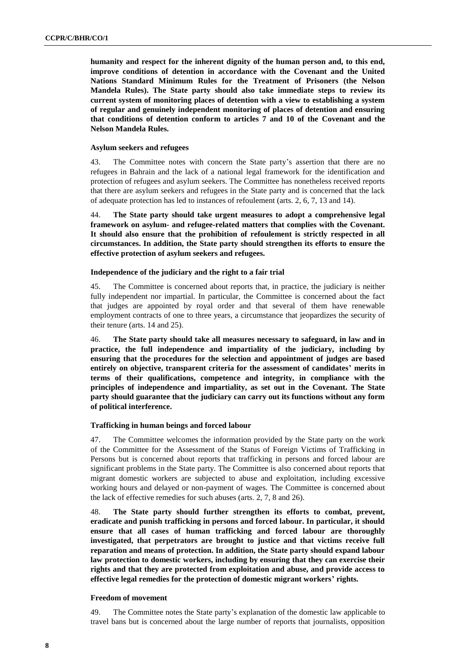**humanity and respect for the inherent dignity of the human person and, to this end, improve conditions of detention in accordance with the Covenant and the United Nations Standard Minimum Rules for the Treatment of Prisoners (the Nelson Mandela Rules). The State party should also take immediate steps to review its current system of monitoring places of detention with a view to establishing a system of regular and genuinely independent monitoring of places of detention and ensuring that conditions of detention conform to articles 7 and 10 of the Covenant and the Nelson Mandela Rules.**

#### **Asylum seekers and refugees**

43. The Committee notes with concern the State party's assertion that there are no refugees in Bahrain and the lack of a national legal framework for the identification and protection of refugees and asylum seekers. The Committee has nonetheless received reports that there are asylum seekers and refugees in the State party and is concerned that the lack of adequate protection has led to instances of refoulement (arts. 2, 6, 7, 13 and 14).

44. **The State party should take urgent measures to adopt a comprehensive legal framework on asylum- and refugee-related matters that complies with the Covenant. It should also ensure that the prohibition of refoulement is strictly respected in all circumstances. In addition, the State party should strengthen its efforts to ensure the effective protection of asylum seekers and refugees.**

#### **Independence of the judiciary and the right to a fair trial**

45. The Committee is concerned about reports that, in practice, the judiciary is neither fully independent nor impartial. In particular, the Committee is concerned about the fact that judges are appointed by royal order and that several of them have renewable employment contracts of one to three years, a circumstance that jeopardizes the security of their tenure (arts. 14 and 25).

46. **The State party should take all measures necessary to safeguard, in law and in practice, the full independence and impartiality of the judiciary, including by ensuring that the procedures for the selection and appointment of judges are based entirely on objective, transparent criteria for the assessment of candidates' merits in terms of their qualifications, competence and integrity, in compliance with the principles of independence and impartiality, as set out in the Covenant. The State party should guarantee that the judiciary can carry out its functions without any form of political interference.** 

#### **Trafficking in human beings and forced labour**

47. The Committee welcomes the information provided by the State party on the work of the Committee for the Assessment of the Status of Foreign Victims of Trafficking in Persons but is concerned about reports that trafficking in persons and forced labour are significant problems in the State party. The Committee is also concerned about reports that migrant domestic workers are subjected to abuse and exploitation, including excessive working hours and delayed or non-payment of wages. The Committee is concerned about the lack of effective remedies for such abuses (arts. 2, 7, 8 and 26).

48. **The State party should further strengthen its efforts to combat, prevent, eradicate and punish trafficking in persons and forced labour. In particular, it should ensure that all cases of human trafficking and forced labour are thoroughly investigated, that perpetrators are brought to justice and that victims receive full reparation and means of protection. In addition, the State party should expand labour law protection to domestic workers, including by ensuring that they can exercise their rights and that they are protected from exploitation and abuse, and provide access to effective legal remedies for the protection of domestic migrant workers' rights.**

#### **Freedom of movement**

49. The Committee notes the State party's explanation of the domestic law applicable to travel bans but is concerned about the large number of reports that journalists, opposition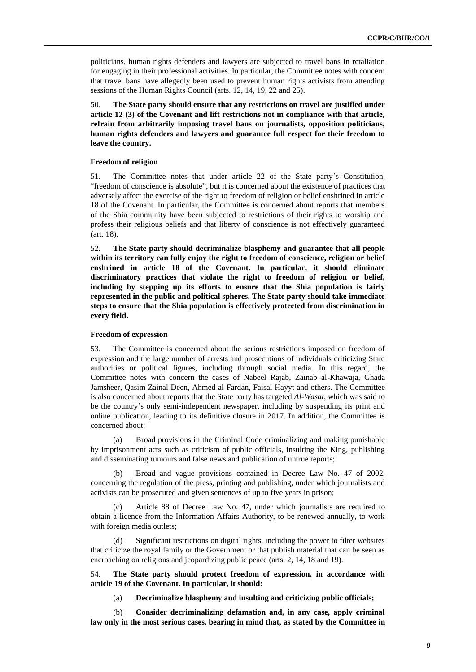politicians, human rights defenders and lawyers are subjected to travel bans in retaliation for engaging in their professional activities. In particular, the Committee notes with concern that travel bans have allegedly been used to prevent human rights activists from attending sessions of the Human Rights Council (arts. 12, 14, 19, 22 and 25).

50. **The State party should ensure that any restrictions on travel are justified under article 12 (3) of the Covenant and lift restrictions not in compliance with that article, refrain from arbitrarily imposing travel bans on journalists, opposition politicians, human rights defenders and lawyers and guarantee full respect for their freedom to leave the country.** 

#### **Freedom of religion**

51. The Committee notes that under article 22 of the State party's Constitution, "freedom of conscience is absolute", but it is concerned about the existence of practices that adversely affect the exercise of the right to freedom of religion or belief enshrined in article 18 of the Covenant. In particular, the Committee is concerned about reports that members of the Shia community have been subjected to restrictions of their rights to worship and profess their religious beliefs and that liberty of conscience is not effectively guaranteed (art. 18).

52. **The State party should decriminalize blasphemy and guarantee that all people within its territory can fully enjoy the right to freedom of conscience, religion or belief enshrined in article 18 of the Covenant. In particular, it should eliminate discriminatory practices that violate the right to freedom of religion or belief, including by stepping up its efforts to ensure that the Shia population is fairly represented in the public and political spheres. The State party should take immediate steps to ensure that the Shia population is effectively protected from discrimination in every field.**

#### **Freedom of expression**

53. The Committee is concerned about the serious restrictions imposed on freedom of expression and the large number of arrests and prosecutions of individuals criticizing State authorities or political figures, including through social media. In this regard, the Committee notes with concern the cases of Nabeel Rajab, Zainab al-Khawaja, Ghada Jamsheer, Qasim Zainal Deen, Ahmed al-Fardan, Faisal Hayyt and others. The Committee is also concerned about reports that the State party has targeted *Al-Wasat*, which was said to be the country's only semi-independent newspaper, including by suspending its print and online publication, leading to its definitive closure in 2017. In addition, the Committee is concerned about:

(a) Broad provisions in the Criminal Code criminalizing and making punishable by imprisonment acts such as criticism of public officials, insulting the King, publishing and disseminating rumours and false news and publication of untrue reports;

(b) Broad and vague provisions contained in Decree Law No. 47 of 2002, concerning the regulation of the press, printing and publishing, under which journalists and activists can be prosecuted and given sentences of up to five years in prison;

(c) Article 88 of Decree Law No. 47, under which journalists are required to obtain a licence from the Information Affairs Authority, to be renewed annually, to work with foreign media outlets;

(d) Significant restrictions on digital rights, including the power to filter websites that criticize the royal family or the Government or that publish material that can be seen as encroaching on religions and jeopardizing public peace (arts. 2, 14, 18 and 19).

54. **The State party should protect freedom of expression, in accordance with article 19 of the Covenant. In particular, it should:**

(a) **Decriminalize blasphemy and insulting and criticizing public officials;** 

(b) **Consider decriminalizing defamation and, in any case, apply criminal law only in the most serious cases, bearing in mind that, as stated by the Committee in**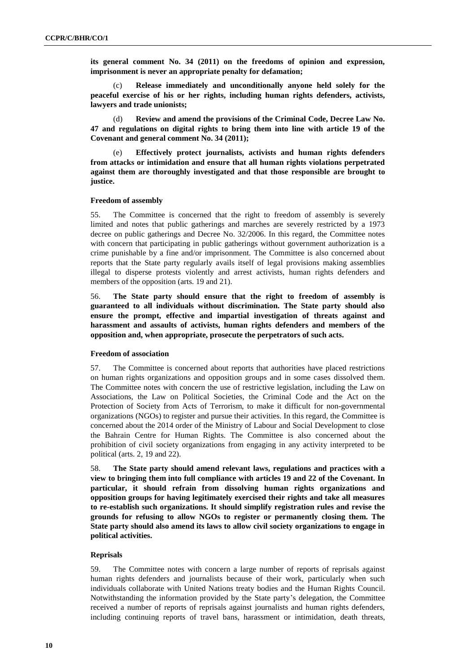**its general comment No. 34 (2011) on the freedoms of opinion and expression, imprisonment is never an appropriate penalty for defamation;**

(c) **Release immediately and unconditionally anyone held solely for the peaceful exercise of his or her rights, including human rights defenders, activists, lawyers and trade unionists;**

(d) **Review and amend the provisions of the Criminal Code, Decree Law No. 47 and regulations on digital rights to bring them into line with article 19 of the Covenant and general comment No. 34 (2011);**

(e) **Effectively protect journalists, activists and human rights defenders from attacks or intimidation and ensure that all human rights violations perpetrated against them are thoroughly investigated and that those responsible are brought to justice.** 

#### **Freedom of assembly**

55. The Committee is concerned that the right to freedom of assembly is severely limited and notes that public gatherings and marches are severely restricted by a 1973 decree on public gatherings and Decree No. 32/2006. In this regard, the Committee notes with concern that participating in public gatherings without government authorization is a crime punishable by a fine and/or imprisonment. The Committee is also concerned about reports that the State party regularly avails itself of legal provisions making assemblies illegal to disperse protests violently and arrest activists, human rights defenders and members of the opposition (arts. 19 and 21).

56. **The State party should ensure that the right to freedom of assembly is guaranteed to all individuals without discrimination. The State party should also ensure the prompt, effective and impartial investigation of threats against and harassment and assaults of activists, human rights defenders and members of the opposition and, when appropriate, prosecute the perpetrators of such acts.** 

#### **Freedom of association**

57. The Committee is concerned about reports that authorities have placed restrictions on human rights organizations and opposition groups and in some cases dissolved them. The Committee notes with concern the use of restrictive legislation, including the Law on Associations, the Law on Political Societies, the Criminal Code and the Act on the Protection of Society from Acts of Terrorism, to make it difficult for non-governmental organizations (NGOs) to register and pursue their activities. In this regard, the Committee is concerned about the 2014 order of the Ministry of Labour and Social Development to close the Bahrain Centre for Human Rights. The Committee is also concerned about the prohibition of civil society organizations from engaging in any activity interpreted to be political (arts. 2, 19 and 22).

58. **The State party should amend relevant laws, regulations and practices with a view to bringing them into full compliance with articles 19 and 22 of the Covenant. In particular, it should refrain from dissolving human rights organizations and opposition groups for having legitimately exercised their rights and take all measures to re-establish such organizations. It should simplify registration rules and revise the grounds for refusing to allow NGOs to register or permanently closing them. The State party should also amend its laws to allow civil society organizations to engage in political activities.**

#### **Reprisals**

59. The Committee notes with concern a large number of reports of reprisals against human rights defenders and journalists because of their work, particularly when such individuals collaborate with United Nations treaty bodies and the Human Rights Council. Notwithstanding the information provided by the State party's delegation, the Committee received a number of reports of reprisals against journalists and human rights defenders, including continuing reports of travel bans, harassment or intimidation, death threats,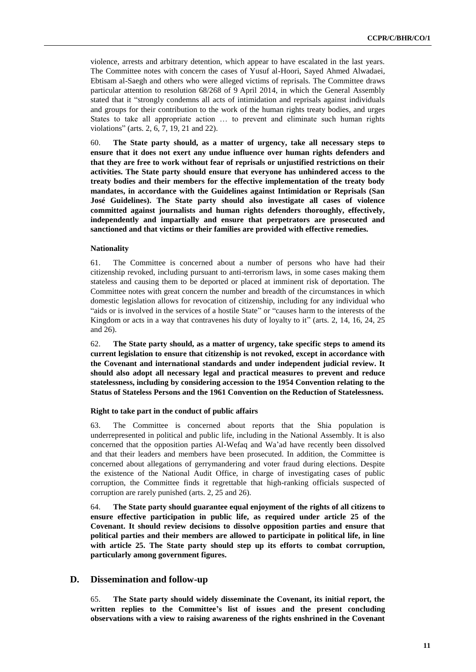violence, arrests and arbitrary detention, which appear to have escalated in the last years. The Committee notes with concern the cases of Yusuf al-Hoori, Sayed Ahmed Alwadaei, Ebtisam al-Saegh and others who were alleged victims of reprisals. The Committee draws particular attention to resolution 68/268 of 9 April 2014, in which the General Assembly stated that it "strongly condemns all acts of intimidation and reprisals against individuals and groups for their contribution to the work of the human rights treaty bodies, and urges States to take all appropriate action … to prevent and eliminate such human rights violations" (arts. 2, 6, 7, 19, 21 and 22).

60. **The State party should, as a matter of urgency, take all necessary steps to ensure that it does not exert any undue influence over human rights defenders and that they are free to work without fear of reprisals or unjustified restrictions on their activities. The State party should ensure that everyone has unhindered access to the treaty bodies and their members for the effective implementation of the treaty body mandates, in accordance with the Guidelines against Intimidation or Reprisals (San José Guidelines). The State party should also investigate all cases of violence committed against journalists and human rights defenders thoroughly, effectively, independently and impartially and ensure that perpetrators are prosecuted and sanctioned and that victims or their families are provided with effective remedies.**

#### **Nationality**

61. The Committee is concerned about a number of persons who have had their citizenship revoked, including pursuant to anti-terrorism laws, in some cases making them stateless and causing them to be deported or placed at imminent risk of deportation. The Committee notes with great concern the number and breadth of the circumstances in which domestic legislation allows for revocation of citizenship, including for any individual who "aids or is involved in the services of a hostile State" or "causes harm to the interests of the Kingdom or acts in a way that contravenes his duty of loyalty to it" (arts. 2, 14, 16, 24, 25 and 26).

62. **The State party should, as a matter of urgency, take specific steps to amend its current legislation to ensure that citizenship is not revoked, except in accordance with the Covenant and international standards and under independent judicial review. It should also adopt all necessary legal and practical measures to prevent and reduce statelessness, including by considering accession to the 1954 Convention relating to the Status of Stateless Persons and the 1961 Convention on the Reduction of Statelessness.** 

#### **Right to take part in the conduct of public affairs**

63. The Committee is concerned about reports that the Shia population is underrepresented in political and public life, including in the National Assembly. It is also concerned that the opposition parties Al-Wefaq and Wa'ad have recently been dissolved and that their leaders and members have been prosecuted. In addition, the Committee is concerned about allegations of gerrymandering and voter fraud during elections. Despite the existence of the National Audit Office, in charge of investigating cases of public corruption, the Committee finds it regrettable that high-ranking officials suspected of corruption are rarely punished (arts. 2, 25 and 26).

64. **The State party should guarantee equal enjoyment of the rights of all citizens to ensure effective participation in public life, as required under article 25 of the Covenant. It should review decisions to dissolve opposition parties and ensure that political parties and their members are allowed to participate in political life, in line with article 25. The State party should step up its efforts to combat corruption, particularly among government figures.** 

#### **D. Dissemination and follow-up**

65. **The State party should widely disseminate the Covenant, its initial report, the written replies to the Committee's list of issues and the present concluding observations with a view to raising awareness of the rights enshrined in the Covenant**